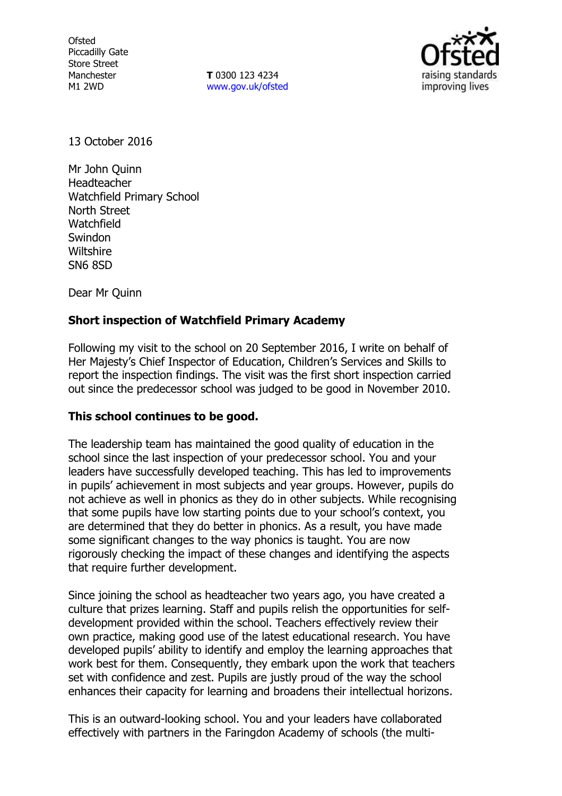Ofsted Piccadilly Gate Store Street Manchester M1 2WD

**T** 0300 123 4234 www.gov.uk/ofsted



13 October 2016

Mr John Quinn Headteacher Watchfield Primary School North Street Watchfield Swindon **Wiltshire** SN6 8SD

Dear Mr Quinn

# **Short inspection of Watchfield Primary Academy**

Following my visit to the school on 20 September 2016, I write on behalf of Her Majesty's Chief Inspector of Education, Children's Services and Skills to report the inspection findings. The visit was the first short inspection carried out since the predecessor school was judged to be good in November 2010.

## **This school continues to be good.**

The leadership team has maintained the good quality of education in the school since the last inspection of your predecessor school. You and your leaders have successfully developed teaching. This has led to improvements in pupils' achievement in most subjects and year groups. However, pupils do not achieve as well in phonics as they do in other subjects. While recognising that some pupils have low starting points due to your school's context, you are determined that they do better in phonics. As a result, you have made some significant changes to the way phonics is taught. You are now rigorously checking the impact of these changes and identifying the aspects that require further development.

Since joining the school as headteacher two years ago, you have created a culture that prizes learning. Staff and pupils relish the opportunities for selfdevelopment provided within the school. Teachers effectively review their own practice, making good use of the latest educational research. You have developed pupils' ability to identify and employ the learning approaches that work best for them. Consequently, they embark upon the work that teachers set with confidence and zest. Pupils are justly proud of the way the school enhances their capacity for learning and broadens their intellectual horizons.

This is an outward-looking school. You and your leaders have collaborated effectively with partners in the Faringdon Academy of schools (the multi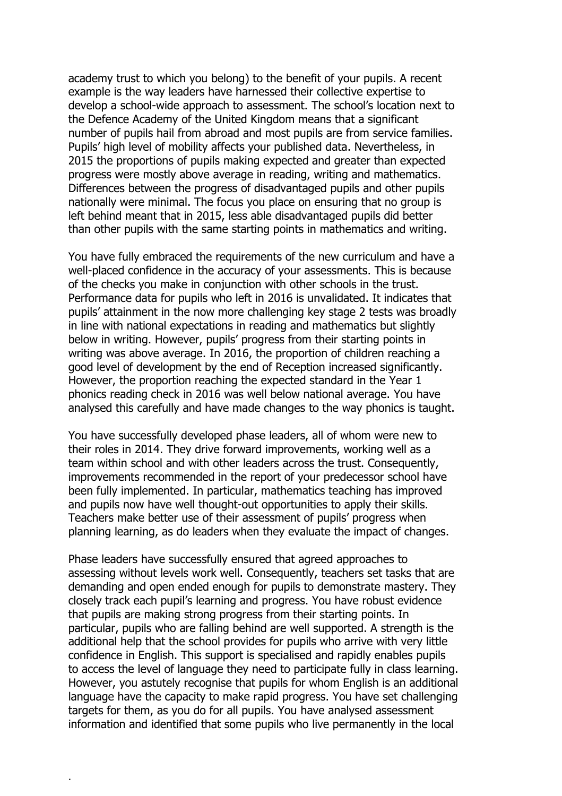academy trust to which you belong) to the benefit of your pupils. A recent example is the way leaders have harnessed their collective expertise to develop a school-wide approach to assessment. The school's location next to the Defence Academy of the United Kingdom means that a significant number of pupils hail from abroad and most pupils are from service families. Pupils' high level of mobility affects your published data. Nevertheless, in 2015 the proportions of pupils making expected and greater than expected progress were mostly above average in reading, writing and mathematics. Differences between the progress of disadvantaged pupils and other pupils nationally were minimal. The focus you place on ensuring that no group is left behind meant that in 2015, less able disadvantaged pupils did better than other pupils with the same starting points in mathematics and writing.

You have fully embraced the requirements of the new curriculum and have a well-placed confidence in the accuracy of your assessments. This is because of the checks you make in conjunction with other schools in the trust. Performance data for pupils who left in 2016 is unvalidated. It indicates that pupils' attainment in the now more challenging key stage 2 tests was broadly in line with national expectations in reading and mathematics but slightly below in writing. However, pupils' progress from their starting points in writing was above average. In 2016, the proportion of children reaching a good level of development by the end of Reception increased significantly. However, the proportion reaching the expected standard in the Year 1 phonics reading check in 2016 was well below national average. You have analysed this carefully and have made changes to the way phonics is taught.

You have successfully developed phase leaders, all of whom were new to their roles in 2014. They drive forward improvements, working well as a team within school and with other leaders across the trust. Consequently, improvements recommended in the report of your predecessor school have been fully implemented. In particular, mathematics teaching has improved and pupils now have well thought-out opportunities to apply their skills. Teachers make better use of their assessment of pupils' progress when planning learning, as do leaders when they evaluate the impact of changes.

Phase leaders have successfully ensured that agreed approaches to assessing without levels work well. Consequently, teachers set tasks that are demanding and open ended enough for pupils to demonstrate mastery. They closely track each pupil's learning and progress. You have robust evidence that pupils are making strong progress from their starting points. In particular, pupils who are falling behind are well supported. A strength is the additional help that the school provides for pupils who arrive with very little confidence in English. This support is specialised and rapidly enables pupils to access the level of language they need to participate fully in class learning. However, you astutely recognise that pupils for whom English is an additional language have the capacity to make rapid progress. You have set challenging targets for them, as you do for all pupils. You have analysed assessment information and identified that some pupils who live permanently in the local

.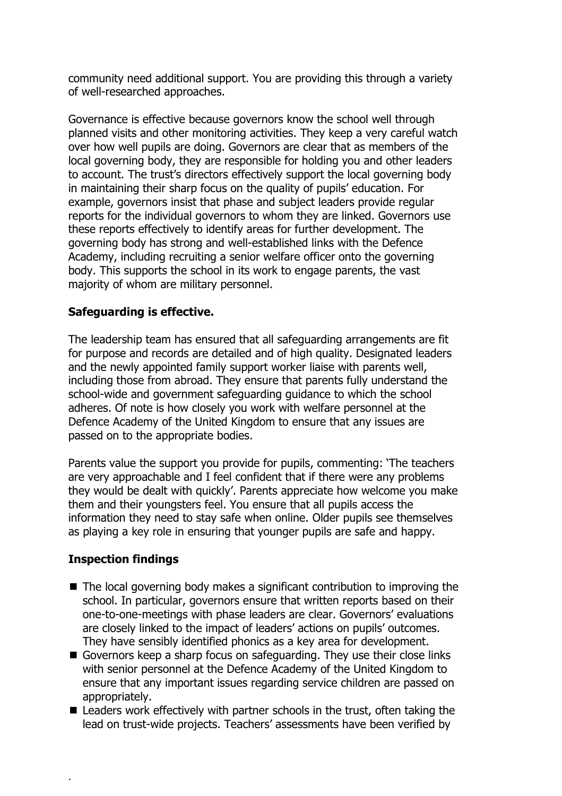community need additional support. You are providing this through a variety of well-researched approaches.

Governance is effective because governors know the school well through planned visits and other monitoring activities. They keep a very careful watch over how well pupils are doing. Governors are clear that as members of the local governing body, they are responsible for holding you and other leaders to account. The trust's directors effectively support the local governing body in maintaining their sharp focus on the quality of pupils' education. For example, governors insist that phase and subject leaders provide regular reports for the individual governors to whom they are linked. Governors use these reports effectively to identify areas for further development. The governing body has strong and well-established links with the Defence Academy, including recruiting a senior welfare officer onto the governing body. This supports the school in its work to engage parents, the vast majority of whom are military personnel.

# **Safeguarding is effective.**

The leadership team has ensured that all safeguarding arrangements are fit for purpose and records are detailed and of high quality. Designated leaders and the newly appointed family support worker liaise with parents well, including those from abroad. They ensure that parents fully understand the school-wide and government safeguarding guidance to which the school adheres. Of note is how closely you work with welfare personnel at the Defence Academy of the United Kingdom to ensure that any issues are passed on to the appropriate bodies.

Parents value the support you provide for pupils, commenting: 'The teachers are very approachable and I feel confident that if there were any problems they would be dealt with quickly'. Parents appreciate how welcome you make them and their youngsters feel. You ensure that all pupils access the information they need to stay safe when online. Older pupils see themselves as playing a key role in ensuring that younger pupils are safe and happy.

# **Inspection findings**

.

- The local governing body makes a significant contribution to improving the school. In particular, governors ensure that written reports based on their one-to-one-meetings with phase leaders are clear. Governors' evaluations are closely linked to the impact of leaders' actions on pupils' outcomes. They have sensibly identified phonics as a key area for development.
- Governors keep a sharp focus on safeguarding. They use their close links with senior personnel at the Defence Academy of the United Kingdom to ensure that any important issues regarding service children are passed on appropriately.
- Leaders work effectively with partner schools in the trust, often taking the lead on trust-wide projects. Teachers' assessments have been verified by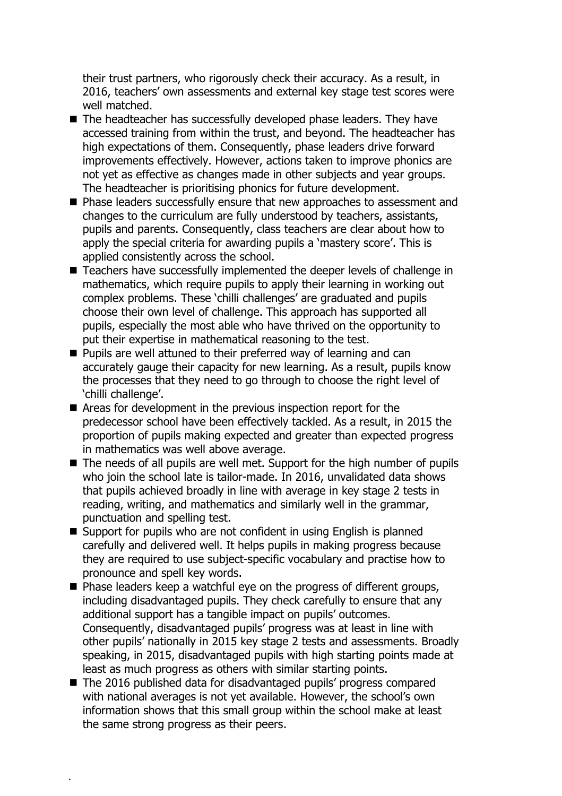their trust partners, who rigorously check their accuracy. As a result, in 2016, teachers' own assessments and external key stage test scores were well matched.

- The headteacher has successfully developed phase leaders. They have accessed training from within the trust, and beyond. The headteacher has high expectations of them. Consequently, phase leaders drive forward improvements effectively. However, actions taken to improve phonics are not yet as effective as changes made in other subjects and year groups. The headteacher is prioritising phonics for future development.
- Phase leaders successfully ensure that new approaches to assessment and changes to the curriculum are fully understood by teachers, assistants, pupils and parents. Consequently, class teachers are clear about how to apply the special criteria for awarding pupils a 'mastery score'. This is applied consistently across the school.
- Teachers have successfully implemented the deeper levels of challenge in mathematics, which require pupils to apply their learning in working out complex problems. These 'chilli challenges' are graduated and pupils choose their own level of challenge. This approach has supported all pupils, especially the most able who have thrived on the opportunity to put their expertise in mathematical reasoning to the test.
- **Pupils are well attuned to their preferred way of learning and can** accurately gauge their capacity for new learning. As a result, pupils know the processes that they need to go through to choose the right level of 'chilli challenge'.
- Areas for development in the previous inspection report for the predecessor school have been effectively tackled. As a result, in 2015 the proportion of pupils making expected and greater than expected progress in mathematics was well above average.
- The needs of all pupils are well met. Support for the high number of pupils who join the school late is tailor-made. In 2016, unvalidated data shows that pupils achieved broadly in line with average in key stage 2 tests in reading, writing, and mathematics and similarly well in the grammar, punctuation and spelling test.
- Support for pupils who are not confident in using English is planned carefully and delivered well. It helps pupils in making progress because they are required to use subject-specific vocabulary and practise how to pronounce and spell key words.
- $\blacksquare$  Phase leaders keep a watchful eye on the progress of different groups, including disadvantaged pupils. They check carefully to ensure that any additional support has a tangible impact on pupils' outcomes. Consequently, disadvantaged pupils' progress was at least in line with other pupils' nationally in 2015 key stage 2 tests and assessments. Broadly speaking, in 2015, disadvantaged pupils with high starting points made at least as much progress as others with similar starting points.
- The 2016 published data for disadvantaged pupils' progress compared with national averages is not yet available. However, the school's own information shows that this small group within the school make at least the same strong progress as their peers.

.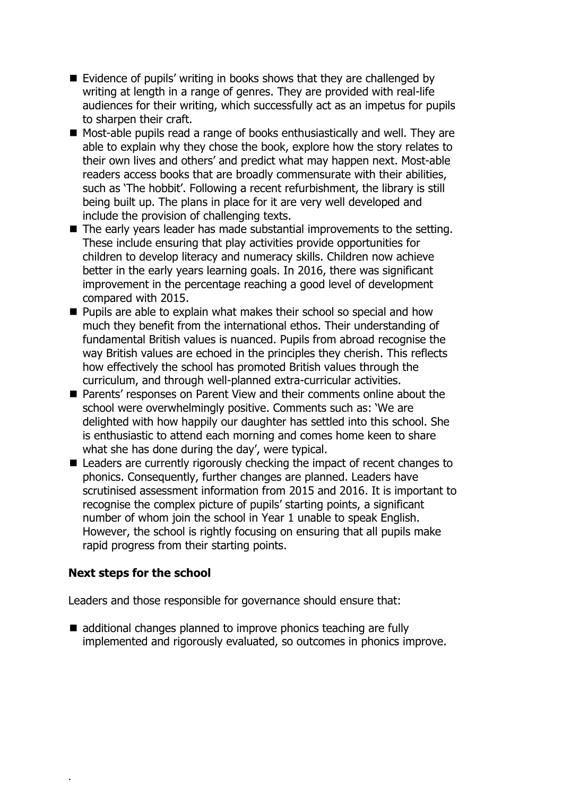- $\blacksquare$  Evidence of pupils' writing in books shows that they are challenged by writing at length in a range of genres. They are provided with real-life audiences for their writing, which successfully act as an impetus for pupils to sharpen their craft.
- Most-able pupils read a range of books enthusiastically and well. They are able to explain why they chose the book, explore how the story relates to their own lives and others' and predict what may happen next. Most-able readers access books that are broadly commensurate with their abilities, such as 'The hobbit'. Following a recent refurbishment, the library is still being built up. The plans in place for it are very well developed and include the provision of challenging texts.
- The early years leader has made substantial improvements to the setting. These include ensuring that play activities provide opportunities for children to develop literacy and numeracy skills. Children now achieve better in the early years learning goals. In 2016, there was significant improvement in the percentage reaching a good level of development compared with 2015.
- **Pupils are able to explain what makes their school so special and how** much they benefit from the international ethos. Their understanding of fundamental British values is nuanced. Pupils from abroad recognise the way British values are echoed in the principles they cherish. This reflects how effectively the school has promoted British values through the curriculum, and through well-planned extra-curricular activities.
- Parents' responses on Parent View and their comments online about the school were overwhelmingly positive. Comments such as: 'We are delighted with how happily our daughter has settled into this school. She is enthusiastic to attend each morning and comes home keen to share what she has done during the day', were typical.
- Leaders are currently rigorously checking the impact of recent changes to phonics. Consequently, further changes are planned. Leaders have scrutinised assessment information from 2015 and 2016. It is important to recognise the complex picture of pupils' starting points, a significant number of whom join the school in Year 1 unable to speak English. However, the school is rightly focusing on ensuring that all pupils make rapid progress from their starting points.

## **Next steps for the school**

.

Leaders and those responsible for governance should ensure that:

■ additional changes planned to improve phonics teaching are fully implemented and rigorously evaluated, so outcomes in phonics improve.